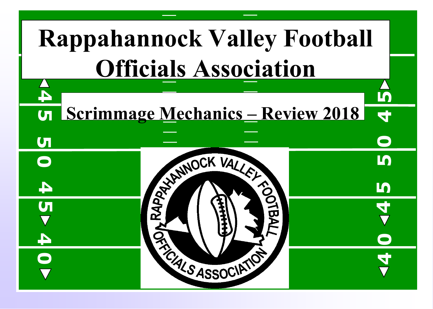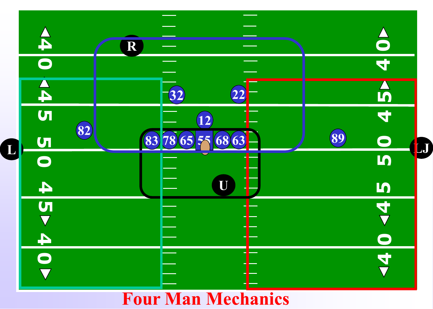

### **Four Man Mechanics**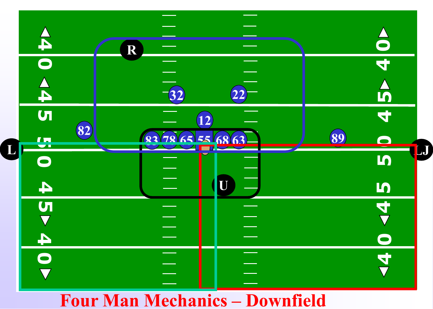

#### **Four Man Mechanics – Downfield**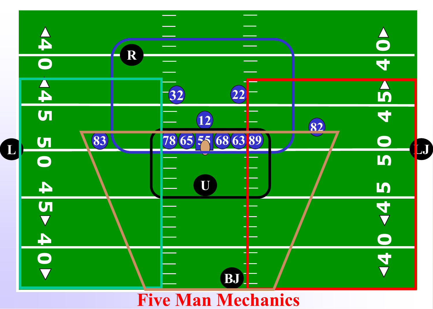

**Five Man Mechanics**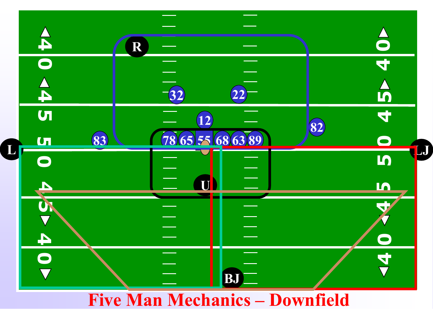

#### **Five Man Mechanics – Downfield**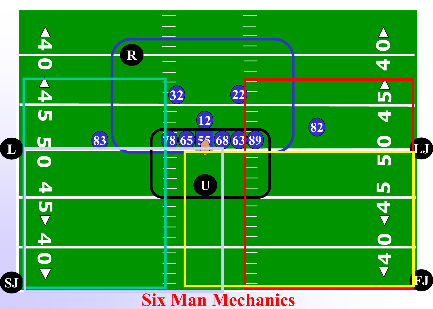

# **Six Man Mechanics**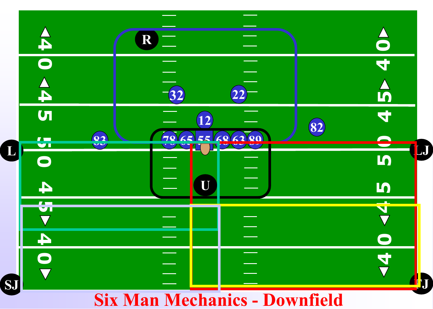

## **Six Man Mechanics - Downfield**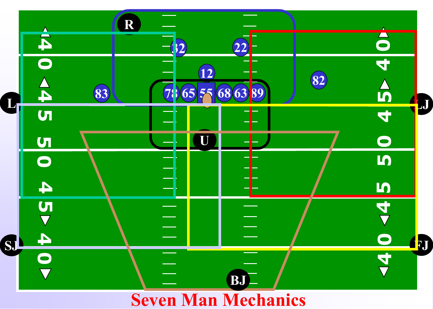

# **Seven Man Mechanics**